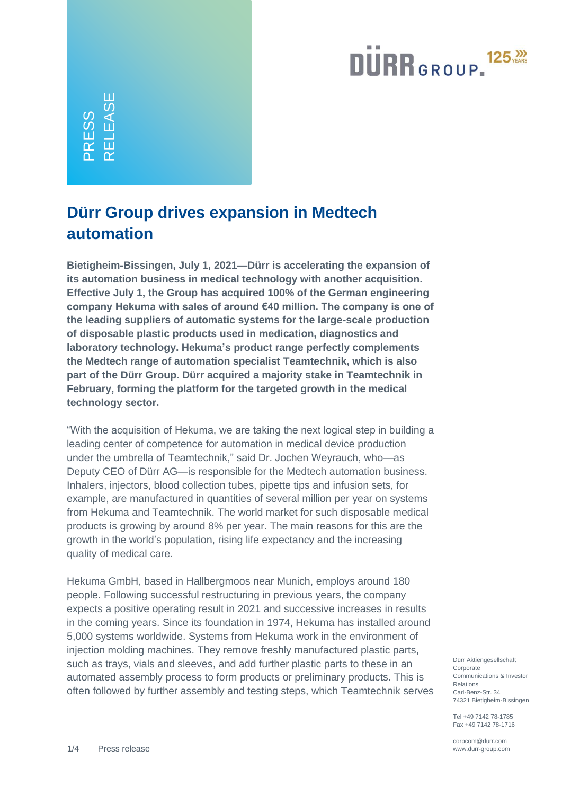# **DURR**GROUP.<sup>125</sub>,</sup>

PRESS RELEASE

#### **Dürr Group drives expansion in Medtech automation**

**Bietigheim-Bissingen, July 1, 2021—Dürr is accelerating the expansion of its automation business in medical technology with another acquisition. Effective July 1, the Group has acquired 100% of the German engineering company Hekuma with sales of around €40 million. The company is one of the leading suppliers of automatic systems for the large-scale production of disposable plastic products used in medication, diagnostics and laboratory technology. Hekuma's product range perfectly complements the Medtech range of automation specialist Teamtechnik, which is also part of the Dürr Group. Dürr acquired a majority stake in Teamtechnik in February, forming the platform for the targeted growth in the medical technology sector.** 

"With the acquisition of Hekuma, we are taking the next logical step in building a leading center of competence for automation in medical device production under the umbrella of Teamtechnik," said Dr. Jochen Weyrauch, who—as Deputy CEO of Dürr AG—is responsible for the Medtech automation business. Inhalers, injectors, blood collection tubes, pipette tips and infusion sets, for example, are manufactured in quantities of several million per year on systems from Hekuma and Teamtechnik. The world market for such disposable medical products is growing by around 8% per year. The main reasons for this are the growth in the world's population, rising life expectancy and the increasing quality of medical care.

Hekuma GmbH, based in Hallbergmoos near Munich, employs around 180 people. Following successful restructuring in previous years, the company expects a positive operating result in 2021 and successive increases in results in the coming years. Since its foundation in 1974, Hekuma has installed around 5,000 systems worldwide. Systems from Hekuma work in the environment of injection molding machines. They remove freshly manufactured plastic parts, such as trays, vials and sleeves, and add further plastic parts to these in an automated assembly process to form products or preliminary products. This is often followed by further assembly and testing steps, which Teamtechnik serves

Dürr Aktiengesellschaft Corporate Communications & Investor Relations Carl-Benz-Str. 34 74321 Bietigheim-Bissingen

Tel +49 7142 78-1785 Fax +49 7142 78-1716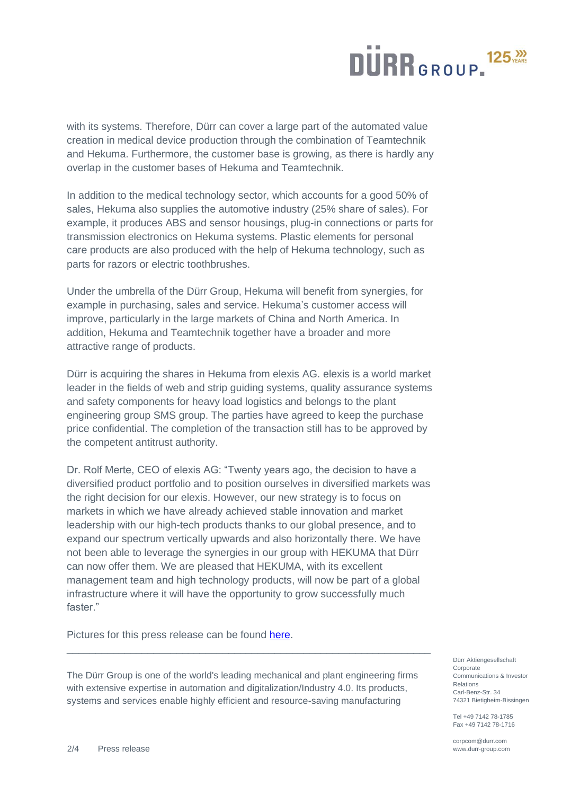### $125<sub>YERS</sub>$ **DURR**GROUP-

with its systems. Therefore, Dürr can cover a large part of the automated value creation in medical device production through the combination of Teamtechnik and Hekuma. Furthermore, the customer base is growing, as there is hardly any overlap in the customer bases of Hekuma and Teamtechnik.

In addition to the medical technology sector, which accounts for a good 50% of sales, Hekuma also supplies the automotive industry (25% share of sales). For example, it produces ABS and sensor housings, plug-in connections or parts for transmission electronics on Hekuma systems. Plastic elements for personal care products are also produced with the help of Hekuma technology, such as parts for razors or electric toothbrushes.

Under the umbrella of the Dürr Group, Hekuma will benefit from synergies, for example in purchasing, sales and service. Hekuma's customer access will improve, particularly in the large markets of China and North America. In addition, Hekuma and Teamtechnik together have a broader and more attractive range of products.

Dürr is acquiring the shares in Hekuma from elexis AG. elexis is a world market leader in the fields of web and strip guiding systems, quality assurance systems and safety components for heavy load logistics and belongs to the plant engineering group SMS group. The parties have agreed to keep the purchase price confidential. The completion of the transaction still has to be approved by the competent antitrust authority.

Dr. Rolf Merte, CEO of elexis AG: "Twenty years ago, the decision to have a diversified product portfolio and to position ourselves in diversified markets was the right decision for our elexis. However, our new strategy is to focus on markets in which we have already achieved stable innovation and market leadership with our high-tech products thanks to our global presence, and to expand our spectrum vertically upwards and also horizontally there. We have not been able to leverage the synergies in our group with HEKUMA that Dürr can now offer them. We are pleased that HEKUMA, with its excellent management team and high technology products, will now be part of a global infrastructure where it will have the opportunity to grow successfully much faster."

Pictures for this press release can be found [here.](https://www.durr-group.com/en/media/news/news-detail/view/duerr-group-drives-expansion-in-medtech-automation-81016)

The Dürr Group is one of the world's leading mechanical and plant engineering firms with extensive expertise in automation and digitalization/Industry 4.0. Its products, systems and services enable highly efficient and resource-saving manufacturing

\_\_\_\_\_\_\_\_\_\_\_\_\_\_\_\_\_\_\_\_\_\_\_\_\_\_\_\_\_\_\_\_\_\_\_\_\_\_\_\_\_\_\_\_\_\_\_\_\_\_\_\_\_\_\_\_\_\_\_\_\_\_\_

Dürr Aktiengesellschaft Corporate Communications & Investor Relations Carl-Benz-Str. 34 74321 Bietigheim-Bissingen

Tel +49 7142 78-1785 Fax +49 7142 78-1716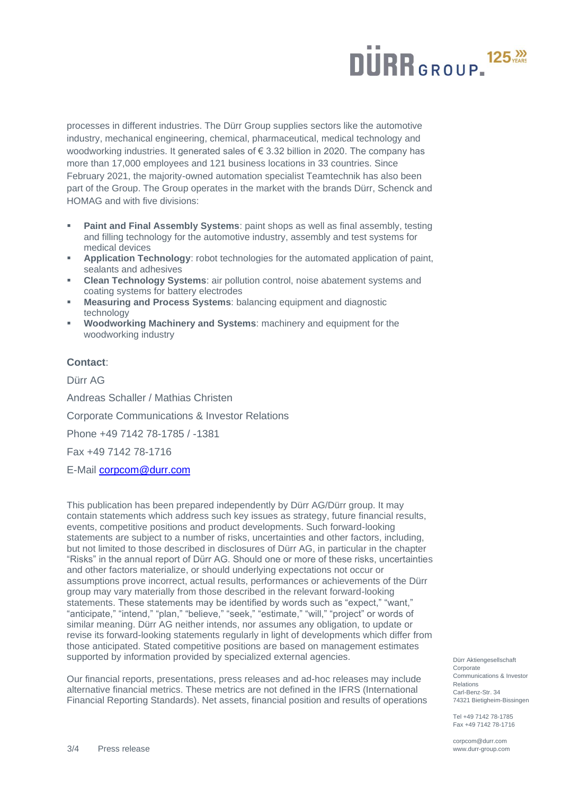# **DURR**GROUP.<sup>125</sub>,</sup>

processes in different industries. The Dürr Group supplies sectors like the automotive industry, mechanical engineering, chemical, pharmaceutical, medical technology and woodworking industries. It generated sales of € 3.32 billion in 2020. The company has more than 17,000 employees and 121 business locations in 33 countries. Since February 2021, the majority-owned automation specialist Teamtechnik has also been part of the Group. The Group operates in the market with the brands Dürr, Schenck and HOMAG and with five divisions:

- **Paint and Final Assembly Systems: paint shops as well as final assembly, testing** and filling technology for the automotive industry, assembly and test systems for medical devices
- Application Technology: robot technologies for the automated application of paint, sealants and adhesives
- **Clean Technology Systems:** air pollution control, noise abatement systems and coating systems for battery electrodes
- **Measuring and Process Systems:** balancing equipment and diagnostic technology
- **Woodworking Machinery and Systems: machinery and equipment for the** woodworking industry

#### **Contact**:

Dürr AG Andreas Schaller / Mathias Christen Corporate Communications & Investor Relations Phone +49 7142 78-1785 / -1381 Fax +49 7142 78-1716 E-Mail [corpcom@durr.com](mailto:corpcom@durr.com)

This publication has been prepared independently by Dürr AG/Dürr group. It may contain statements which address such key issues as strategy, future financial results, events, competitive positions and product developments. Such forward-looking statements are subject to a number of risks, uncertainties and other factors, including, but not limited to those described in disclosures of Dürr AG, in particular in the chapter "Risks" in the annual report of Dürr AG. Should one or more of these risks, uncertainties and other factors materialize, or should underlying expectations not occur or assumptions prove incorrect, actual results, performances or achievements of the Dürr group may vary materially from those described in the relevant forward-looking statements. These statements may be identified by words such as "expect," "want," "anticipate," "intend," "plan," "believe," "seek," "estimate," "will," "project" or words of similar meaning. Dürr AG neither intends, nor assumes any obligation, to update or revise its forward-looking statements regularly in light of developments which differ from those anticipated. Stated competitive positions are based on management estimates supported by information provided by specialized external agencies.

Our financial reports, presentations, press releases and ad-hoc releases may include alternative financial metrics. These metrics are not defined in the IFRS (International Financial Reporting Standards). Net assets, financial position and results of operations

Dürr Aktiengesellschaft Corporate Communications & Investor Relations Carl-Benz-Str. 34 74321 Bietigheim-Bissingen

Tel +49 7142 78-1785 Fax +49 7142 78-1716